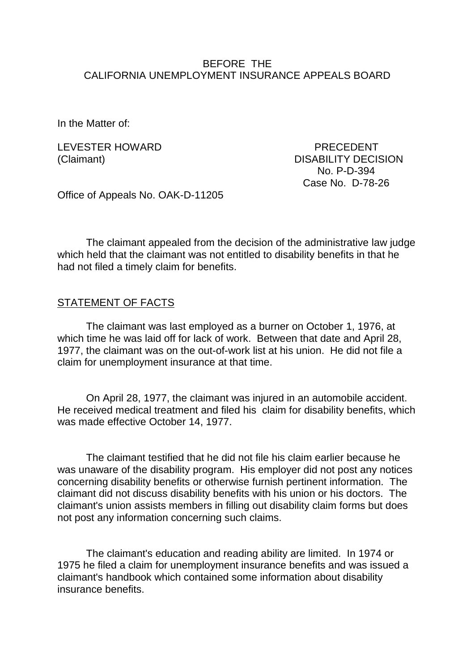### BEFORE THE CALIFORNIA UNEMPLOYMENT INSURANCE APPEALS BOARD

In the Matter of:

LEVESTER HOWARD PRECEDENT

(Claimant) DISABILITY DECISION No. P-D-394 Case No. D-78-26

Office of Appeals No. OAK-D-11205

The claimant appealed from the decision of the administrative law judge which held that the claimant was not entitled to disability benefits in that he had not filed a timely claim for benefits.

#### STATEMENT OF FACTS

The claimant was last employed as a burner on October 1, 1976, at which time he was laid off for lack of work. Between that date and April 28, 1977, the claimant was on the out-of-work list at his union. He did not file a claim for unemployment insurance at that time.

On April 28, 1977, the claimant was injured in an automobile accident. He received medical treatment and filed his claim for disability benefits, which was made effective October 14, 1977.

The claimant testified that he did not file his claim earlier because he was unaware of the disability program. His employer did not post any notices concerning disability benefits or otherwise furnish pertinent information. The claimant did not discuss disability benefits with his union or his doctors. The claimant's union assists members in filling out disability claim forms but does not post any information concerning such claims.

The claimant's education and reading ability are limited. In 1974 or 1975 he filed a claim for unemployment insurance benefits and was issued a claimant's handbook which contained some information about disability insurance benefits.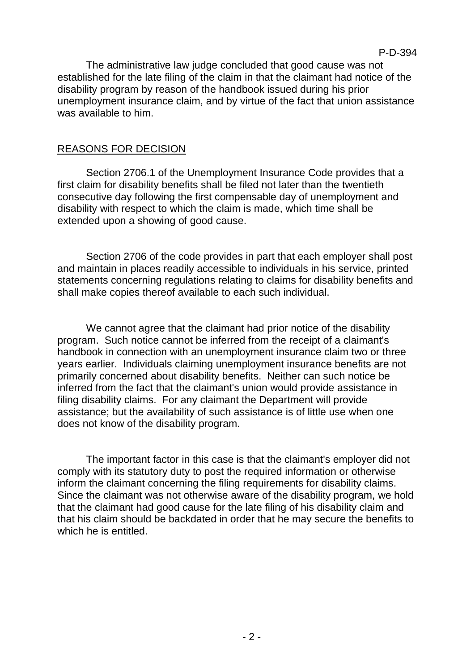The administrative law judge concluded that good cause was not established for the late filing of the claim in that the claimant had notice of the disability program by reason of the handbook issued during his prior unemployment insurance claim, and by virtue of the fact that union assistance was available to him.

## REASONS FOR DECISION

Section 2706.1 of the Unemployment Insurance Code provides that a first claim for disability benefits shall be filed not later than the twentieth consecutive day following the first compensable day of unemployment and disability with respect to which the claim is made, which time shall be extended upon a showing of good cause.

Section 2706 of the code provides in part that each employer shall post and maintain in places readily accessible to individuals in his service, printed statements concerning regulations relating to claims for disability benefits and shall make copies thereof available to each such individual.

We cannot agree that the claimant had prior notice of the disability program. Such notice cannot be inferred from the receipt of a claimant's handbook in connection with an unemployment insurance claim two or three years earlier. Individuals claiming unemployment insurance benefits are not primarily concerned about disability benefits. Neither can such notice be inferred from the fact that the claimant's union would provide assistance in filing disability claims. For any claimant the Department will provide assistance; but the availability of such assistance is of little use when one does not know of the disability program.

The important factor in this case is that the claimant's employer did not comply with its statutory duty to post the required information or otherwise inform the claimant concerning the filing requirements for disability claims. Since the claimant was not otherwise aware of the disability program, we hold that the claimant had good cause for the late filing of his disability claim and that his claim should be backdated in order that he may secure the benefits to which he is entitled.